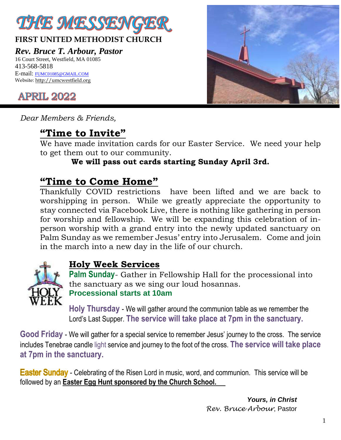

### **FIRST UNITED METHODIST CHURCH**

*Rev. Bruce T. Arbour, Pastor*

16 Court Street, Westfield, MA 01085 413-568-5818 E-mail: [FUMC01085@GMAIL.COM](mailto:FUMC01085@GMAIL.COM) Website[: http://umcwestfield.org](http://umcwestfield.org/)



*Dear Members & Friends,*

# **"Time to Invite"**

We have made invitation cards for our Easter Service. We need your help to get them out to our community.

### **We will pass out cards starting Sunday April 3rd.**

### **"Time to Come Home"**

Thankfully COVID restrictions have been lifted and we are back to worshipping in person. While we greatly appreciate the opportunity to stay connected via Facebook Live, there is nothing like gathering in person for worship and fellowship. We will be expanding this celebration of inperson worship with a grand entry into the newly updated sanctuary on Palm Sunday as we remember Jesus' entry into Jerusalem. Come and join in the march into a new day in the life of our church.



### **Holy Week Services**

**Palm Sunday**- Gather in Fellowship Hall for the processional into the sanctuary as we sing our loud hosannas. **Processional starts at 10am**

**Holy Thursday** - We will gather around the communion table as we remember the Lord's Last Supper. **The service will take place at 7pm in the sanctuary.**

**Good Friday** - We will gather for a special service to remember Jesus' journey to the cross. The service includes Tenebrae candle light service and journey to the foot of the cross. **The service will take place at 7pm in the sanctuary.**

**Easter Sunday** - Celebrating of the Risen Lord in music, word, and communion. This service will be followed by an **Easter Egg Hunt sponsored by the Church School.** 

> *Yours, in Christ Rev. Bruce Arbour*, Pastor

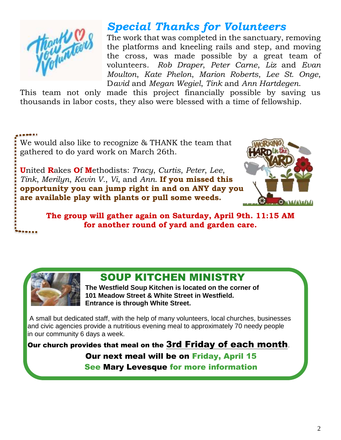

# *Special Thanks for Volunteers*

The work that was completed in the sanctuary, removing the platforms and kneeling rails and step, and moving the cross, was made possible by a great team of volunteers. *Rob Draper*, *Peter Carne*, *Liz* and *Evan Moulton*, *Kate Phelon*, *Marion Roberts*, *Lee St. Onge*, D*avid* and *Megan Wegiel*, *Tink* and *Ann Hartdegen*.

This team not only made this project financially possible by saving us thousands in labor costs, they also were blessed with a time of fellowship.

We would also like to recognize & THANK the team that gathered to do yard work on March 26th.

**U**nited **R**akes **O**f **M**ethodists: *Tracy*, *Curtis*, *Peter*, *Lee*, *Tink*, *Merilyn*, *Kevin V.*, *Vi*, and *Ann*. **If you missed this opportunity you can jump right in and on ANY day you are available play with plants or pull some weeds.**



**The group will gather again on Saturday, April 9th. 11:15 AM for another round of yard and garden care.**



## SOUP KITCHEN MINISTRY

**The Westfield Soup Kitchen is located on the corner of 101 Meadow Street & White Street in Westfield. Entrance is through White Street.**

A small but dedicated staff, with the help of many volunteers, local churches, businesses and civic agencies provide a nutritious evening meal to approximately 70 needy people in our community 6 days a week.

Our church provides that meal on the 3rd Friday of each month. Our next meal will be on Friday, April 15 See Mary Levesque for more information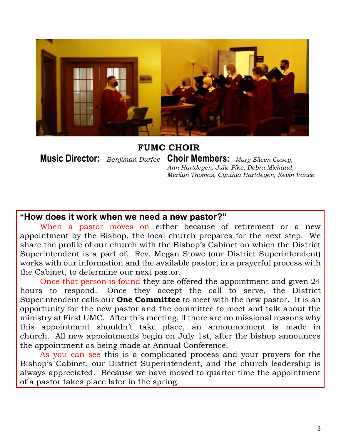

 **FUMC CHOIR** 

**Music Director:** *Benjiman Durfee* **Choir Members:** *Mary Eileen Casey, Ann Hartdegen, Julie Pike, Debra Michaud, Merilyn Thomas, Cynthia Hartdegen, Kevin Vance*

#### **"How does it work when we need a new pastor?"**

When a pastor moves on either because of retirement or a new appointment by the Bishop, the local church prepares for the next step. We share the profile of our church with the Bishop's Cabinet on which the District Superintendent is a part of. Rev. Megan Stowe (our District Superintendent) works with our information and the available pastor, in a prayerful process with the Cabinet, to determine our next pastor.

Once that person is found they are offered the appointment and given 24 hours to respond. Once they accept the call to serve, the District Superintendent calls our **One Committee** to meet with the new pastor. It is an opportunity for the new pastor and the committee to meet and talk about the ministry at First UMC. After this meeting, if there are no missional reasons why this appointment shouldn't take place, an announcement is made in church. All new appointments begin on July 1st, after the bishop announces the appointment as being made at Annual Conference.

As you can see this is a complicated process and your prayers for the Bishop's Cabinet, our District Superintendent, and the church leadership is always appreciated. Because we have moved to quarter time the appointment of a pastor takes place later in the spring.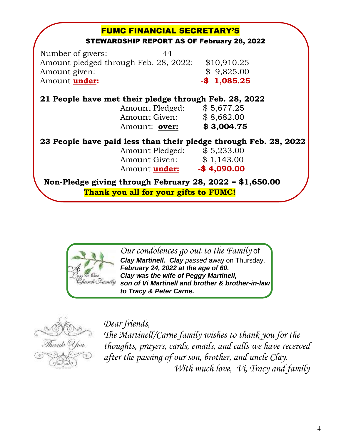| <b>FUMC FINANCIAL SECRETARY'S</b><br><b>STEWARDSHIP REPORT AS OF February 28, 2022</b> |                |
|----------------------------------------------------------------------------------------|----------------|
|                                                                                        |                |
| Number of givers:<br>44<br>Amount pledged through Feb. 28, 2022:                       | \$10,910.25    |
|                                                                                        |                |
| Amount given:                                                                          | \$9,825.00     |
| Amount under:                                                                          | $-$ \$1,085.25 |
| 21 People have met their pledge through Feb. 28, 2022                                  |                |
| Amount Pledged: \$5,677.25                                                             |                |
| Amount Given: \$8,682.00                                                               |                |
| Amount: over:                                                                          | \$3,004.75     |
|                                                                                        |                |
| 23 People have paid less than their pledge through Feb. 28, 2022                       |                |
| Amount Pledged: \$5,233.00                                                             |                |
| Amount Given: \$1,143.00                                                               |                |
| Amount <b>under:</b>                                                                   | $-$ \$4,090.00 |
| Non-Pledge giving through February 28, 2022 = $$1,650.00$                              |                |
|                                                                                        |                |
| Thank you all for your gifts to FUMC!                                                  |                |



*Our condolences go out to the Family* of *Clay Martinell. Clay passed* away on Thursday, *February 24, 2022 at the age of 60. Clay was the wife of Peggy Martinell, son of Vi Martinell and brother & brother-in-law to Tracy & Peter Carne.*



*Dear friends,*

*The Martinell/Carne family wishes to thank you for the thoughts, prayers, cards, emails, and calls we have received after the passing of our son, brother, and uncle Clay. With much love, Vi, Tracy and family*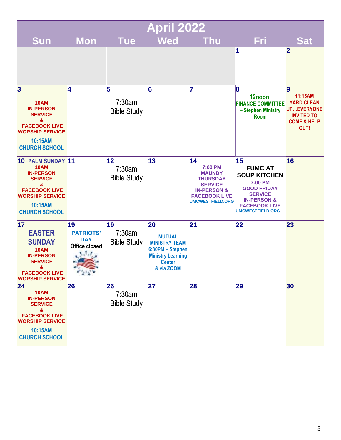|                                                                                                                                                                  | <b>April 2022</b>                                                            |                                    |                                                                                                                            |                                                                                                                                                  |                                                                                                                                                                                    |                                                                                                        |
|------------------------------------------------------------------------------------------------------------------------------------------------------------------|------------------------------------------------------------------------------|------------------------------------|----------------------------------------------------------------------------------------------------------------------------|--------------------------------------------------------------------------------------------------------------------------------------------------|------------------------------------------------------------------------------------------------------------------------------------------------------------------------------------|--------------------------------------------------------------------------------------------------------|
| <b>Sun</b>                                                                                                                                                       | <b>Mon</b>                                                                   | <b>Tue</b>                         | <b>Wed</b>                                                                                                                 | <b>Thu</b>                                                                                                                                       | Fri                                                                                                                                                                                | <b>Sat</b>                                                                                             |
|                                                                                                                                                                  |                                                                              |                                    |                                                                                                                            |                                                                                                                                                  | И                                                                                                                                                                                  | $\boldsymbol{2}$                                                                                       |
| 3<br><b>10AM</b><br><b>IN-PERSON</b><br><b>SERVICE</b><br>&<br><b>FACEBOOK LIVE</b><br><b>WORSHIP SERVICE</b><br>10:15AM<br><b>CHURCH SCHOOL</b>                 | 14                                                                           | 5<br>7:30am<br><b>Bible Study</b>  | 6                                                                                                                          | 17                                                                                                                                               | 8<br>12noon:<br><b>FINANCE COMMITTEE</b><br>- Stephen Ministry<br><b>Room</b>                                                                                                      | 9<br>11:15AM<br><b>YARD CLEAN</b><br>UPEVERYONE<br><b>INVITED TO</b><br><b>COME &amp; HELP</b><br>OUT! |
| 10-PALM SUNDAY 11<br><b>10AM</b><br><b>IN-PERSON</b><br><b>SERVICE</b><br>&<br><b>FACEBOOK LIVE</b><br><b>WORSHIP SERVICE</b><br>10:15AM<br><b>CHURCH SCHOOL</b> |                                                                              | 12<br>7:30am<br><b>Bible Study</b> | 13                                                                                                                         | 14<br>7:00 PM<br><b>MAUNDY</b><br><b>THURSDAY</b><br><b>SERVICE</b><br><b>IN-PERSON &amp;</b><br><b>FACEBOOK LIVE</b><br><b>UMCWESTFIELD.ORG</b> | 15<br><b>FUMC AT</b><br><b>SOUP KITCHEN</b><br><b>7:00 PM</b><br><b>GOOD FRIDAY</b><br><b>SERVICE</b><br><b>IN-PERSON &amp;</b><br><b>FACEBOOK LIVE</b><br><b>UMCWESTFIELD.ORG</b> | 16                                                                                                     |
| 17<br><b>EASTER</b><br><b>SUNDAY</b><br><b>10AM</b><br><b>IN-PERSON</b><br><b>SERVICE</b><br>&<br><b>FACEBOOK LIVE</b><br><b>WORSHIP SERVICE</b>                 | 19<br><b>PATRIOTS'</b><br><b>DAY</b><br><b>Office closed</b><br><b>CALLA</b> | 19<br>7:30am<br><b>Bible Study</b> | 20<br><b>MUTUAL</b><br><b>MINISTRY TEAM</b><br>6:30PM - Stephen<br><b>Ministry Learning</b><br><b>Center</b><br>& via ZOOM | $\mathbf{21}$                                                                                                                                    | 22                                                                                                                                                                                 | 23                                                                                                     |
| 24 <br><b>10AM</b><br><b>IN-PERSON</b><br><b>SERVICE</b><br>&<br><b>FACEBOOK LIVE</b><br><b>WORSHIP SERVICE</b><br>10:15AM<br><b>CHURCH SCHOOL</b>               | 26                                                                           | 26<br>7:30am<br><b>Bible Study</b> | 27                                                                                                                         | 28                                                                                                                                               | 29                                                                                                                                                                                 | 30                                                                                                     |